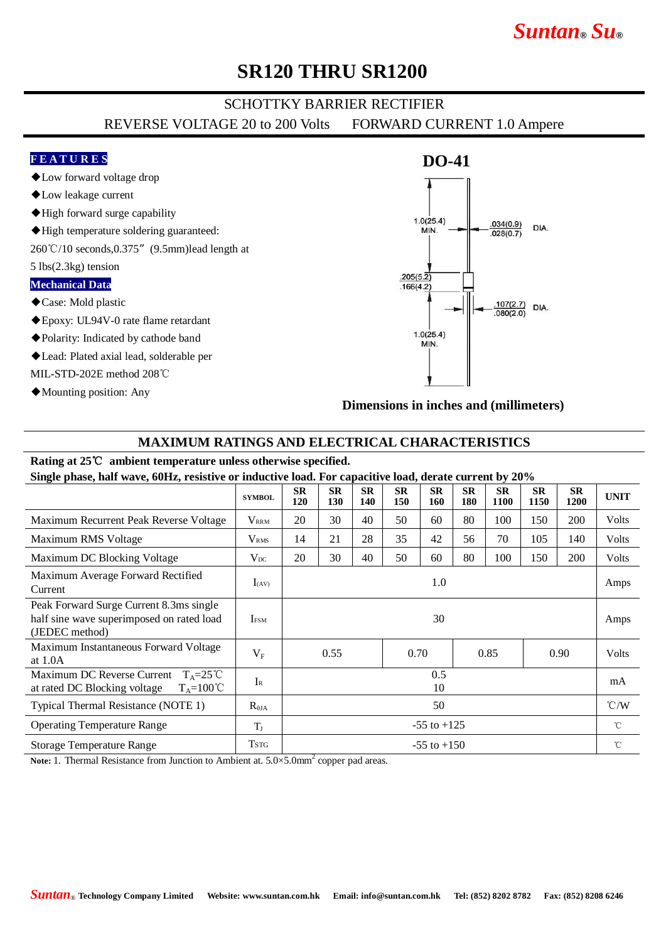# *Suntan***®** *Su***®**

### **SR120 THRU SR1200**

### SCHOTTKY BARRIER RECTIFIER

REVERSE VOLTAGE 20 to 200 Volts FORWARD CURRENT 1.0 Ampere

#### **F E A T U R E S**

- ◆Low forward voltage drop
- ◆Low leakage current
- ◆High forward surge capability
- ◆High temperature soldering guaranteed:
- 260℃/10 seconds,0.375"(9.5mm)lead length at
- 5 lbs(2.3kg) tension

#### **Mechanical Data**

- ◆Case: Mold plastic
- ◆Epoxy: UL94V-0 rate flame retardant
- ◆Polarity: Indicated by cathode band
- ◆Lead: Plated axial lead, solderable per

MIL-STD-202E method 208℃

◆Mounting position: Any

### **DO-41**  $1.0(25.4)$  $.034(0.9)$ DIA MIN.  $.028(0.7)$  $.205(5.\overline{2})$  $.166(4.2)$  $.107(2.7)$ DIA.  $.080(2.0)$  $1.0(25.4)$ **MIN**

**Dimensions in inches and (millimeters)**

#### **MAXIMUM RATINGS AND ELECTRICAL CHARACTERISTICS**

#### **Rating at 25**℃ **ambient temperature unless otherwise specified.**

**Single phase, half wave, 60Hz, resistive or inductive load. For capacitive load, derate current by 20%**

| $\mu$ , $\mu$ , $\mu$ , $\mu$ , $\mu$ , $\mu$ , $\mu$ , $\mu$ , $\mu$ , $\mu$ , $\mu$ , $\mu$ , $\mu$ , $\mu$ , $\mu$ , $\mu$ , $\mu$ , $\mu$ , $\mu$ , $\mu$ , $\mu$ , $\mu$ , $\mu$ , $\mu$ |                  |                  |                  |                  |                  |                  |                  |                   |                   |                   |               |
|-----------------------------------------------------------------------------------------------------------------------------------------------------------------------------------------------|------------------|------------------|------------------|------------------|------------------|------------------|------------------|-------------------|-------------------|-------------------|---------------|
|                                                                                                                                                                                               | <b>SYMBOL</b>    | <b>SR</b><br>120 | <b>SR</b><br>130 | <b>SR</b><br>140 | <b>SR</b><br>150 | <b>SR</b><br>160 | <b>SR</b><br>180 | <b>SR</b><br>1100 | <b>SR</b><br>1150 | <b>SR</b><br>1200 | <b>UNIT</b>   |
| Maximum Recurrent Peak Reverse Voltage                                                                                                                                                        | $V_{\rm RRM}$    | 20               | 30               | 40               | 50               | 60               | 80               | 100               | 150               | <b>200</b>        | Volts         |
| Maximum RMS Voltage                                                                                                                                                                           | V <sub>RMS</sub> | 14               | 21               | 28               | 35               | 42               | 56               | 70                | 105               | 140               | Volts         |
| Maximum DC Blocking Voltage                                                                                                                                                                   | $V_{DC}$         | 20               | 30               | 40               | 50               | 60               | 80               | 100               | 150               | <b>200</b>        | Volts         |
| Maximum Average Forward Rectified<br>Current                                                                                                                                                  | $I_{(AV)}$       | 1.0              |                  |                  |                  |                  |                  |                   |                   |                   | Amps          |
| Peak Forward Surge Current 8.3ms single<br>half sine wave superimposed on rated load<br>(JEDEC method)                                                                                        | <b>IFSM</b>      | 30               |                  |                  |                  |                  |                  |                   |                   |                   | Amps          |
| Maximum Instantaneous Forward Voltage<br>at $1.0A$                                                                                                                                            | $V_{\rm F}$      | 0.55             |                  | 0.70             |                  | 0.85             |                  | 0.90              |                   | <b>Volts</b>      |               |
| Maximum DC Reverse Current<br>$T_A = 25^{\circ}C$<br>$T_A = 100^{\circ}C$<br>at rated DC Blocking voltage                                                                                     | $I_{R}$          | 0.5<br>10        |                  |                  |                  |                  |                  |                   |                   |                   | mA            |
| Typical Thermal Resistance (NOTE 1)                                                                                                                                                           | $R_{\theta JA}$  | 50               |                  |                  |                  |                  |                  |                   |                   |                   | $\degree$ C/W |
| <b>Operating Temperature Range</b>                                                                                                                                                            | $T_{J}$          | $-55$ to $+125$  |                  |                  |                  |                  |                  |                   |                   |                   | $^{\circ}$ C  |
| <b>Storage Temperature Range</b>                                                                                                                                                              | <b>TSTG</b>      | $-55$ to $+150$  |                  |                  |                  |                  |                  |                   |                   |                   | $^{\circ}$ C  |

Note: 1. Thermal Resistance from Junction to Ambient at. 5.0×5.0mm<sup>2</sup> copper pad areas.